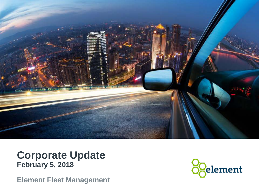

#### **Corporate Update February 5, 2018**

**Element Fleet Management**

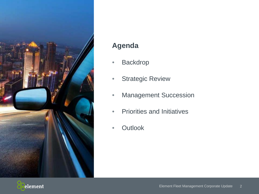

#### **Agenda**

- Backdrop
- Strategic Review
- Management Succession
- Priorities and Initiatives
- Outlook

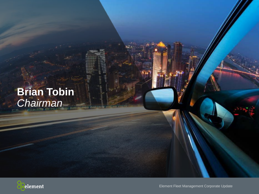#### **Brian Tobin**  *Chairman*

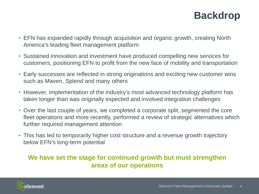#### **Backdrop**

- EFN has expanded rapidly through acquisition and organic growth, creating North America's leading fleet management platform
- Sustained innovation and investment have produced compelling new services for customers, positioning EFN to profit from the new face of mobility and transportation
- Early successes are reflected in strong originations and exciting new customer wins such as Maven, Splend and many others
- However, implementation of the industry's most advanced technology platform has taken longer than was originally expected and involved integration challenges
- Over the last couple of years, we completed a corporate split, segmented the core fleet operations and more recently, performed a review of strategic alternatives which further required management attention
- This has led to temporarily higher cost structure and a revenue growth trajectory below EFN's long-term potential

#### **We have set the stage for continued growth but must strengthen areas of our operations**

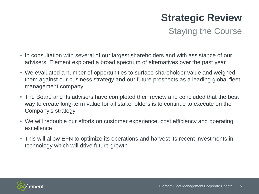## **Strategic Review**

Staying the Course

- In consultation with several of our largest shareholders and with assistance of our advisers, Element explored a broad spectrum of alternatives over the past year
- We evaluated a number of opportunities to surface shareholder value and weighed them against our business strategy and our future prospects as a leading global fleet management company
- The Board and its advisers have completed their review and concluded that the best way to create long-term value for all stakeholders is to continue to execute on the Company's strategy
- We will redouble our efforts on customer experience, cost efficiency and operating excellence
- This will allow EFN to optimize its operations and harvest its recent investments in technology which will drive future growth

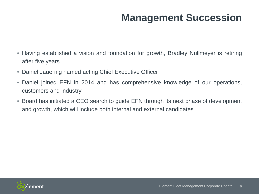### **Management Succession**

- Having established a vision and foundation for growth, Bradley Nullmeyer is retiring after five years
- Daniel Jauernig named acting Chief Executive Officer
- Daniel joined EFN in 2014 and has comprehensive knowledge of our operations, customers and industry
- Board has initiated a CEO search to guide EFN through its next phase of development and growth, which will include both internal and external candidates

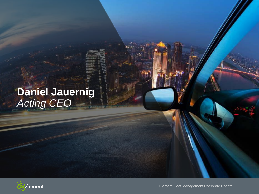### **Daniel Jauernig** *Acting CEO*



Element Fleet Management Corporate Update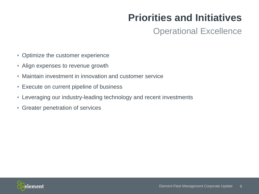### **Priorities and Initiatives**

#### Operational Excellence

- Optimize the customer experience
- Align expenses to revenue growth
- Maintain investment in innovation and customer service
- Execute on current pipeline of business
- Leveraging our industry-leading technology and recent investments
- Greater penetration of services

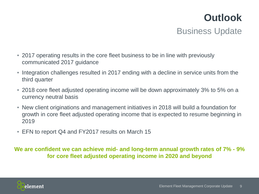## Business Update **Outlook**

- 2017 operating results in the core fleet business to be in line with previously communicated 2017 guidance
- Integration challenges resulted in 2017 ending with a decline in service units from the third quarter
- 2018 core fleet adjusted operating income will be down approximately 3% to 5% on a currency neutral basis
- New client originations and management initiatives in 2018 will build a foundation for growth in core fleet adjusted operating income that is expected to resume beginning in 2019
- EFN to report Q4 and FY2017 results on March 15

**We are confident we can achieve mid- and long-term annual growth rates of 7% - 9% for core fleet adjusted operating income in 2020 and beyond**